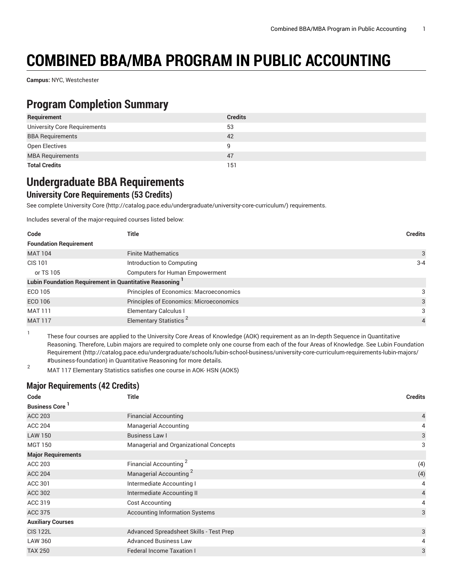# **COMBINED BBA/MBA PROGRAM IN PUBLIC ACCOUNTING**

**Campus:** NYC, Westchester

### **Program Completion Summary**

| Requirement                  | <b>Credits</b> |
|------------------------------|----------------|
| University Core Requirements | 53             |
| <b>BBA Requirements</b>      | 42             |
| Open Electives               | q              |
| <b>MBA Requirements</b>      | 47             |
| <b>Total Credits</b>         | 151            |

### **Undergraduate BBA Requirements**

#### **University Core Requirements (53 Credits)**

See complete [University](http://catalog.pace.edu/undergraduate/university-core-curriculum/) Core (<http://catalog.pace.edu/undergraduate/university-core-curriculum/>) requirements.

Includes several of the major-required courses listed below:

| Code                                                                | Title                                   | <b>Credits</b> |
|---------------------------------------------------------------------|-----------------------------------------|----------------|
| <b>Foundation Requirement</b>                                       |                                         |                |
| <b>MAT 104</b>                                                      | <b>Finite Mathematics</b>               | 3              |
| CIS 101                                                             | Introduction to Computing               | $3 - 4$        |
| or TS 105                                                           | Computers for Human Empowerment         |                |
| Lubin Foundation Requirement in Quantitative Reasoning <sup>1</sup> |                                         |                |
| ECO 105                                                             | Principles of Economics: Macroeconomics | 3              |
| ECO 106                                                             | Principles of Economics: Microeconomics | 3              |
| MAT 111                                                             | <b>Elementary Calculus I</b>            | 3              |
| <b>MAT 117</b>                                                      | Elementary Statistics <sup>2</sup>      | $\overline{4}$ |

1 These four courses are applied to the University Core Areas of Knowledge (AOK) requirement as an In-depth Sequence in Quantitative Reasoning. Therefore, Lubin majors are required to complete only one course from each of the four Areas of Knowledge. See Lubin [Foundation](http://catalog.pace.edu/undergraduate/schools/lubin-school-business/university-core-curriculum-requirements-lubin-majors/#business-foundation) [Requirement](http://catalog.pace.edu/undergraduate/schools/lubin-school-business/university-core-curriculum-requirements-lubin-majors/#business-foundation) ([http://catalog.pace.edu/undergraduate/schools/lubin-school-business/university-core-curriculum-requirements-lubin-majors/](http://catalog.pace.edu/undergraduate/schools/lubin-school-business/university-core-curriculum-requirements-lubin-majors/#business-foundation) [#business-foundation\)](http://catalog.pace.edu/undergraduate/schools/lubin-school-business/university-core-curriculum-requirements-lubin-majors/#business-foundation) in Quantitative Reasoning for more details.

<sup>2</sup> MAT 117 Elementary Statistics satisfies one course in AOK- HSN (AOK5)

#### **Major Requirements (42 Credits)**

| Code                      | <b>Title</b>                            | <b>Credits</b> |
|---------------------------|-----------------------------------------|----------------|
| <b>Business Core</b>      |                                         |                |
| <b>ACC 203</b>            | <b>Financial Accounting</b>             | 4              |
| <b>ACC 204</b>            | <b>Managerial Accounting</b>            | 4              |
| <b>LAW 150</b>            | Business Law I                          | 3              |
| <b>MGT 150</b>            | Managerial and Organizational Concepts  | 3              |
| <b>Major Requirements</b> |                                         |                |
| <b>ACC 203</b>            | Financial Accounting <sup>2</sup>       | (4)            |
| <b>ACC 204</b>            | Managerial Accounting <sup>2</sup>      | (4)            |
| ACC 301                   | Intermediate Accounting I               | 4              |
| <b>ACC 302</b>            | Intermediate Accounting II              | $\overline{4}$ |
| ACC 319                   | Cost Accounting                         | 4              |
| <b>ACC 375</b>            | <b>Accounting Information Systems</b>   | 3              |
| <b>Auxiliary Courses</b>  |                                         |                |
| <b>CIS 122L</b>           | Advanced Spreadsheet Skills - Test Prep | 3              |
| LAW 360                   | <b>Advanced Business Law</b>            | 4              |
| <b>TAX 250</b>            | <b>Federal Income Taxation I</b>        | 3              |